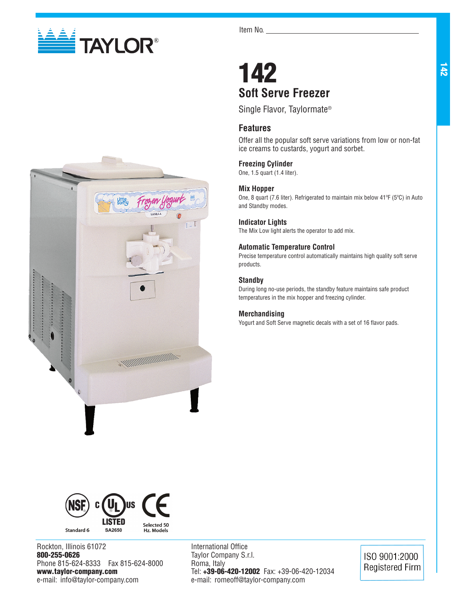

Item No.

# 142 **Soft Serve Freezer**

Single Flavor, Taylormate®

# **Features**

Offer all the popular soft serve variations from low or non-fat ice creams to custards, yogurt and sorbet.

## **Freezing Cylinder**

One, 1.5 quart (1.4 liter).

### **Mix Hopper**

One, 8 quart (7.6 liter). Refrigerated to maintain mix below 41ºF (5ºC) in Auto and Standby modes.

### **Indicator Lights**

The Mix Low light alerts the operator to add mix.

## **Automatic Temperature Control**

Precise temperature control automatically maintains high quality soft serve products.

## **Standby**

During long no-use periods, the standby feature maintains safe product temperatures in the mix hopper and freezing cylinder.

### **Merchandising**

Yogurt and Soft Serve magnetic decals with a set of 16 flavor pads.





Rockton, Illinois 61072 800-255-0626 Phone 815-624-8333 Fax 815-624-8000 www.taylor-company.com e-mail: info@taylor-company.com

International Office Taylor Company S.r.l. Roma, Italy Tel: +39-06-420-12002 Fax: +39-06-420-12034 e-mail: romeoff@taylor-company.com

ISO 9001:2000 **Registered Firm**